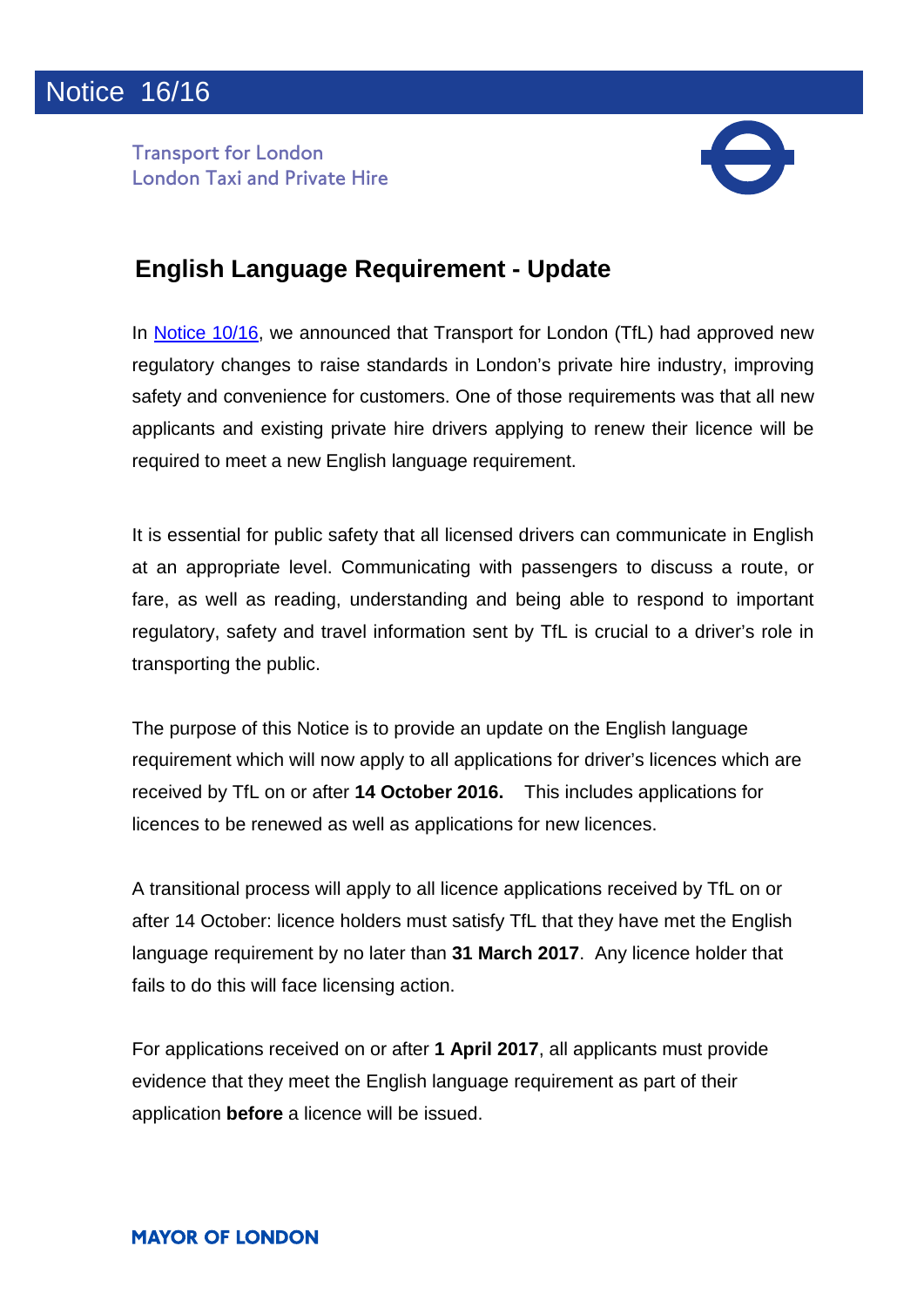**Transport for London London Taxi and Private Hire** 



## **English Language Requirement - Update**

In [Notice 10/16,](http://content.tfl.gov.uk/10-16-important-changes-to-private-hire-regulation.pdf) we announced that Transport for London (TfL) had approved new regulatory changes to raise standards in London's private hire industry, improving safety and convenience for customers. One of those requirements was that all new applicants and existing private hire drivers applying to renew their licence will be required to meet a new English language requirement.

It is essential for public safety that all licensed drivers can communicate in English at an appropriate level. Communicating with passengers to discuss a route, or fare, as well as reading, understanding and being able to respond to important regulatory, safety and travel information sent by TfL is crucial to a driver's role in transporting the public.

The purpose of this Notice is to provide an update on the English language requirement which will now apply to all applications for driver's licences which are received by TfL on or after **14 October 2016.** This includes applications for licences to be renewed as well as applications for new licences.

A transitional process will apply to all licence applications received by TfL on or after 14 October: licence holders must satisfy TfL that they have met the English language requirement by no later than **31 March 2017**. Any licence holder that fails to do this will face licensing action.

For applications received on or after **1 April 2017**, all applicants must provide evidence that they meet the English language requirement as part of their application **before** a licence will be issued.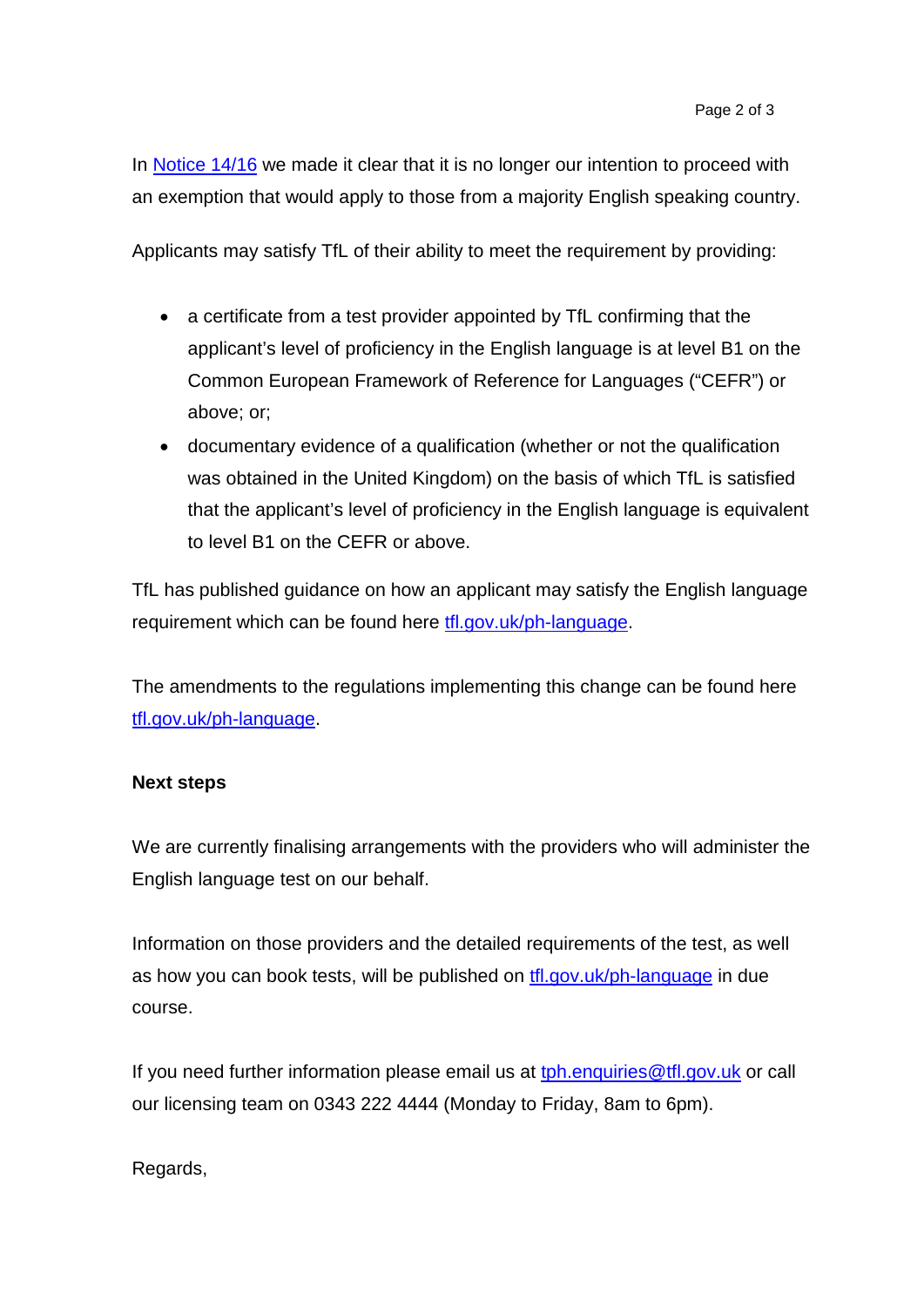In [Notice 14/16](http://content.tfl.gov.uk/14-16-changes-to-private-hire-regulation-update.pdf) we made it clear that it is no longer our intention to proceed with an exemption that would apply to those from a majority English speaking country.

Applicants may satisfy TfL of their ability to meet the requirement by providing:

- a certificate from a test provider appointed by TfL confirming that the applicant's level of proficiency in the English language is at level B1 on the Common European Framework of Reference for Languages ("CEFR") or above; or;
- documentary evidence of a qualification (whether or not the qualification was obtained in the United Kingdom) on the basis of which TfL is satisfied that the applicant's level of proficiency in the English language is equivalent to level B1 on the CEFR or above.

TfL has published guidance on how an applicant may satisfy the English language requirement which can be found here [tfl.gov.uk/ph-language.](https://tfl.gov.uk/info-for/taxis-and-private-hire/english-language-requirement)

The amendments to the regulations implementing this change can be found here [tfl.gov.uk/ph-language.](https://tfl.gov.uk/info-for/taxis-and-private-hire/english-language-requirement)

## **Next steps**

We are currently finalising arrangements with the providers who will administer the English language test on our behalf.

Information on those providers and the detailed requirements of the test, as well as how you can book tests, will be published on [tfl.gov.uk/ph-language](https://tfl.gov.uk/info-for/taxis-and-private-hire/english-language-requirement) in due course.

If you need further information please email us at to b. enquiries @tfl.gov.uk or call our licensing team on 0343 222 4444 (Monday to Friday, 8am to 6pm).

Regards,